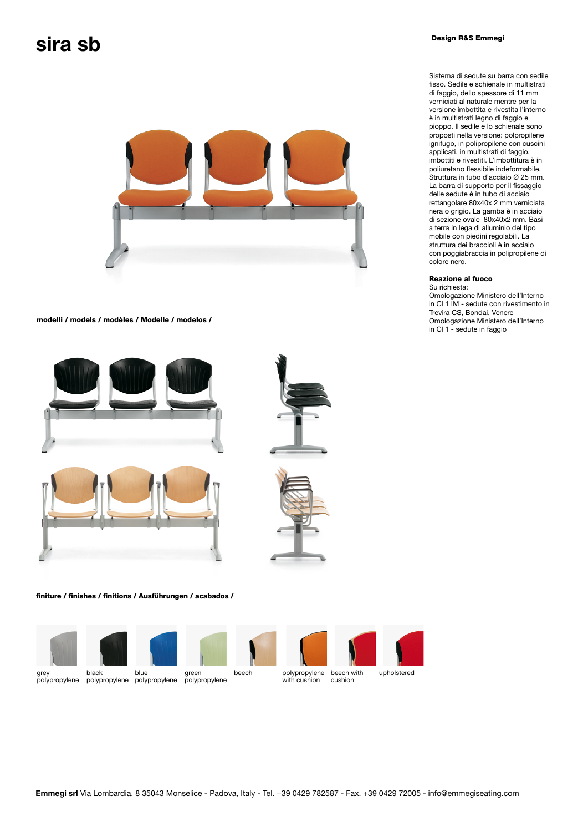# $\mathsf{Sira\,sb}$



modelli / models / modèles / Modelle / modelos /







finiture / finishes / finitions / Ausführungen / acabados /







beech with cushion polypropylene with cushion



Sistema di sedute su barra con sedile fisso. Sedile e schienale in multistrati di faggio, dello spessore di 11 mm verniciati al naturale mentre per la versione imbottita e rivestita l'interno è in multistrati legno di faggio e pioppo. Il sedile e lo schienale sono proposti nella versione: polpropilene ignifugo, in polipropilene con cuscini applicati, in multistrati di faggio, imbottiti e rivestiti. L'imbottitura è in poliuretano flessibile indeformabile. Struttura in tubo d'acciaio Ø 25 mm. La barra di supporto per il fissaggio delle sedute è in tubo di acciaio rettangolare 80x40x 2 mm verniciata nera o grigio. La gamba è in acciaio di sezione ovale 80x40x2 mm. Basi a terra in lega di alluminio del tipo mobile con piedini regolabili. La struttura dei braccioli è in acciaio con poggiabraccia in polipropilene di colore nero.

## Reazione al fuoco

Su richiesta: Omologazione Ministero dell'Interno in Cl 1 IM - sedute con rivestimento in Trevira CS, Bondai, Venere Omologazione Ministero dell'Interno in Cl 1 - sedute in faggio